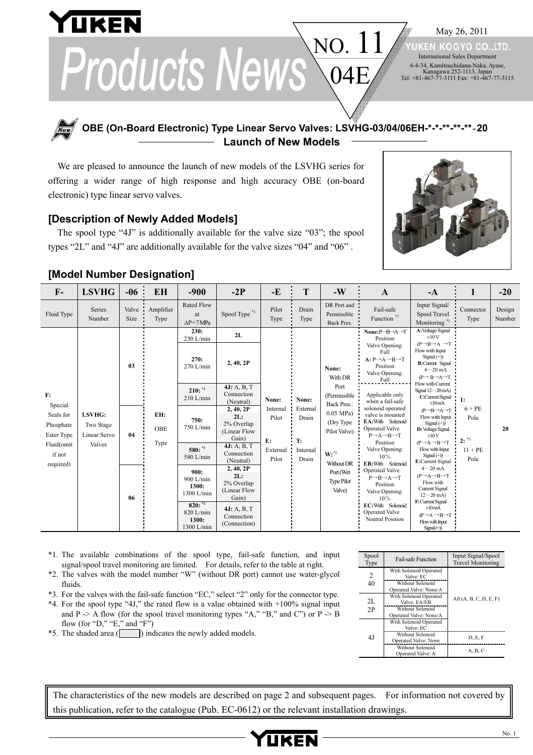May 26, 2011 **KEN** 

KOGYO CO.LTD. International Sales Department 4-4-34, Kamitsuchidana-Naka, Ayase, Kanagawa 252-1113, Japan Tel: +81-467-77-3111 Fax: +81-467-77-3115

NO. Products News  $04E/$ 

# **OBE (On-Board Electronic) Type Linear Servo Valves: LSVHG-03/04/06EH-\*-\*-\*\*-\*\*-\*\***‐**20 Launch of New Models**

We are pleased to announce the launch of new models of the LSVHG series for offering a wider range of high response and high accuracy OBE (on-board electronic) type linear servo valves.

### **[Description of Newly Added Models]**

The spool type "4J" is additionally available for the valve size "03"; the spool types "2L" and "4J" are additionally available for the valve sizes "04" and "06" .



# **[Model Number Designation]**

**UKEN** 

| $\mathbf{F}$                                                                               | <b>LSVHG</b>                                  | $-06$ :         | <b>EH</b>                 | $-900$                                                                                                                                                                                                             | $-2P$                                                                                                                                                                                                                                                                  | $-E$                                                  | T                                                     | $-W$                                                                                                                                                                                     | $\mathbf{A}$                                                                                                                                                                                                                                                                                                                                                                                                                                                                                                                                                                                                  | $-A$                                                                                                                                                                                                                                                                                                                                                                                                                                                                                                                                                                                                                                                                                                                                                            | $\mathbf{1}$                                                         | $-20$            |
|--------------------------------------------------------------------------------------------|-----------------------------------------------|-----------------|---------------------------|--------------------------------------------------------------------------------------------------------------------------------------------------------------------------------------------------------------------|------------------------------------------------------------------------------------------------------------------------------------------------------------------------------------------------------------------------------------------------------------------------|-------------------------------------------------------|-------------------------------------------------------|------------------------------------------------------------------------------------------------------------------------------------------------------------------------------------------|---------------------------------------------------------------------------------------------------------------------------------------------------------------------------------------------------------------------------------------------------------------------------------------------------------------------------------------------------------------------------------------------------------------------------------------------------------------------------------------------------------------------------------------------------------------------------------------------------------------|-----------------------------------------------------------------------------------------------------------------------------------------------------------------------------------------------------------------------------------------------------------------------------------------------------------------------------------------------------------------------------------------------------------------------------------------------------------------------------------------------------------------------------------------------------------------------------------------------------------------------------------------------------------------------------------------------------------------------------------------------------------------|----------------------------------------------------------------------|------------------|
| Fluid Type                                                                                 | Series<br>Number                              | Valve :<br>Size | Amplifier<br>Type         | <b>Rated Flow</b><br>at<br>$\Delta P = 7 MPa$                                                                                                                                                                      | Spool Type *1                                                                                                                                                                                                                                                          | Pilot<br>Type                                         | Drain<br>Type                                         | DR Port and<br>Permissible<br>Back Pres.                                                                                                                                                 | Fail-safe<br>Function $^{\ast_{1}}$                                                                                                                                                                                                                                                                                                                                                                                                                                                                                                                                                                           | Input Signal/<br>Spool Travel<br>Monitoring <sup>*1</sup>                                                                                                                                                                                                                                                                                                                                                                                                                                                                                                                                                                                                                                                                                                       | Connector<br>Type                                                    | Design<br>Number |
| F:<br>Special<br>Seals for<br>Phosphate<br>Ester Type<br>Fluid(omit<br>if not<br>required) | LSVHG:<br>Two Stage<br>Linear Servo<br>Valves | 03<br>04<br>06  | EH:<br><b>OBE</b><br>Type | 230:<br>$230$ L/min<br>270:<br>$270$ L/min<br>$210:$ *4<br>$210$ L/min<br>750:<br>750 L/min<br>580: **<br>580 L/min<br>900:<br>900 L/min<br>1300:<br>1300 L/min<br>$820:^{*4}$<br>820 L/min<br>1300:<br>1300 L/min | 2L<br>2, 40, 2P<br>4J: A, B, T<br>Connection<br>(Neutral)<br>2, 40, 2P<br>2L:<br>2% Overlap<br>(Linear Flow<br>Gain)<br>4J: A, B, T<br>Connection<br>(Neutral)<br>2, 40, 2P<br>2L:<br>2% Overlap<br>(Linear Flow<br>Gain)<br>4J: A, B, T<br>Connection<br>(Connection) | None:<br>Internal<br>Pilot<br>E:<br>External<br>Pilot | None:<br>External<br>Drain<br>T:<br>Internal<br>Drain | None:<br>With DR<br>Port<br>(Permissible<br><b>Back Pres.:</b><br>$0.05$ MPa)<br>(Dry Type)<br>Pilot Valve)<br>$W: 2^{\infty}$<br>Without DR<br>Port (Wet<br><b>Type Pilot</b><br>Valve) | None: $P \rightarrow B \rightarrow A \rightarrow T$<br>Position<br>Valve Opening:<br>Full<br>$A: P \rightarrow A \rightarrow B \rightarrow T$<br>Position<br>Valve Opening:<br>Full<br>Applicable only<br>when a fail-safe<br>solenoid operated<br>valve is mounted<br>EA: With Solenoid<br><b>Operated Valve</b><br>$P \rightarrow A \rightarrow B \rightarrow T$<br>Position<br>Valve Opening:<br>10%<br>EB: With Solenoid<br><b>Operated Valve</b><br>$P \rightarrow B \rightarrow A \rightarrow T$<br>Position<br>Valve Opening:<br>10%<br>EC: With Solenoid<br><b>Operated Valve</b><br>Neutral Position | A: Voltage Signal<br>$\pm 10V$<br>$(P \rightarrow B \rightarrow A \rightarrow T)$<br>Flow with Input<br>$Signal (+)$<br><b>B:</b> Current Signal<br>$4 - 20$ mA<br>$(P \rightarrow B \rightarrow A \rightarrow T$<br>Flow with Current<br>Signal $12-20$ mA)<br>C:Current Signal<br>$\pm 10$ mA<br>$(P \rightarrow B \rightarrow A \rightarrow T$<br>Flow with Input<br>$Signal (+))$<br>D: Voltage Signal<br>±10V<br>$(P \rightarrow A \rightarrow B \rightarrow T$<br>Flow with Input<br>$Signal (+)$<br>E:Current Signal<br>$4 - 20$ mA<br>$(P \rightarrow A \rightarrow B \rightarrow T)$<br>Flow with<br>Current Signal<br>$12 - 20$ mA)<br>F: Current Signal<br>±10mA<br>$(P \rightarrow A \rightarrow B \rightarrow T$<br>Flow with Input<br>$Signal(+)$ | $\mathbf{1}$ :<br>$6 + PE$<br>Pole<br>$2:$ $*3$<br>$11 + PE$<br>Pole | 20               |

- \*1. The available combinations of the spool type, fail-safe function, and input signal/spool travel monitoring are limited. For details, refer to the table at right.
- \*2. The valves with the model number "W" (without DR port) cannot use water-glycol fluids.
- \*3. For the valves with the fail-safe function "EC," select "2" only for the connector type.
- \*4. For the spool type "4J," the rated flow is a value obtained with +100% signal input and P -> A flow (for the spool travel monitoring types "A," "B," and C") or  $P \geq B$ flow (for "D," "E," and "F")
- \*5. The shaded area ( ) indicates the newly added models.

| Spool<br>Type | <b>Fail-safe Function</b>                          | Input Signal/Spool<br><b>Travel Monitoring</b> |  |
|---------------|----------------------------------------------------|------------------------------------------------|--|
| 2             | With Solenoid Operated<br>Valve <sup>.</sup> EC    |                                                |  |
| 40            | Without Solenoid<br>Operated Valve: None/A         |                                                |  |
| 2L            | With Solenoid Operated<br>Valve <sup>-</sup> EA/EB | All $(A, B, C, D, E, F)$                       |  |
| 2P            | Without Solenoid<br>Operated Valve: None/A         |                                                |  |
|               | With Solenoid Operated<br>Valve <sup>.</sup> EC    |                                                |  |
| 4 I           | Without Solenoid<br>Operated Valve: None           | D, E, F                                        |  |
|               | Without Solenoid<br>Operated Valve: A              | A, B, C                                        |  |

The characteristics of the new models are described on page 2 and subsequent pages. For information not covered by this publication, refer to the catalogue (Pub. EC-0612) or the relevant installation drawings.

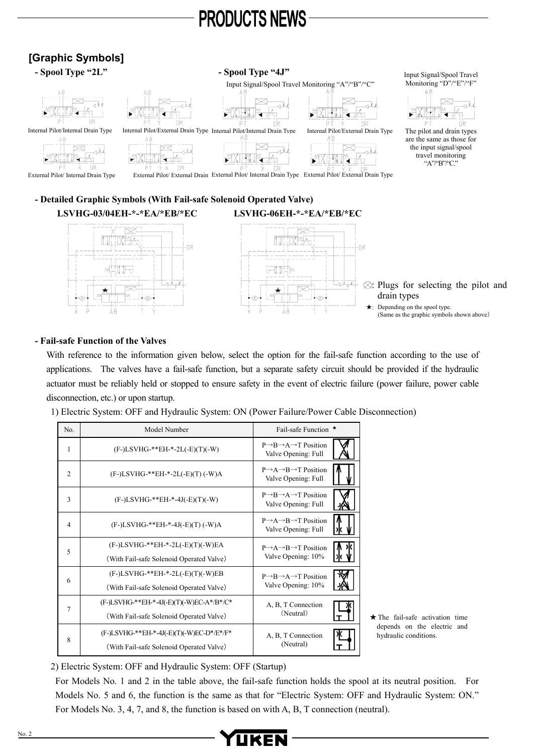#### **[Graphic Symbols] - Spool Type "2L" - Spool Type "4J"**  Input Signal/Spool Travel Monitoring "D"/"E"/"F" Input Signal/Spool Travel Monitoring "A"/"B"/"C" Internal Pilot/External Drain Type The pilot and drain types Internal Pilot/Internal Drain Type Internal Pilot/External Drain Type Internal Pilot/Internal Drain Type are the same as those for isz the input signal/spool 48 ∢⊱ al  $\mathbb{H}^{\mathbb{N}}$ travel monitoring NA A ੂ ₹ţ, ĸ b दे "A"/"B"/"C." -nis External Pilot/ External Drain External Pilot/ Internal Drain Type External Pilot/ External Drain Type External Pilot/ Internal Drain Type

**- Detailed Graphic Symbols (With Fail-safe Solenoid Operated Valve) LSVHG-03/04EH-\*-\*EA/\*EB/\*EC LSVHG-06EH-\*-\*EA/\*EB/\*EC** 



#### **- Fail-safe Function of the Valves**

With reference to the information given below, select the option for the fail-safe function according to the use of applications. The valves have a fail-safe function, but a separate safety circuit should be provided if the hydraulic actuator must be reliably held or stopped to ensure safety in the event of electric failure (power failure, power cable disconnection, etc.) or upon startup.

1) Electric System: OFF and Hydraulic System: ON (Power Failure/Power Cable Disconnection)

| No.            | Model Number                              | Fail-safe Function $\star$                                                    |
|----------------|-------------------------------------------|-------------------------------------------------------------------------------|
| 1              | $(F-)LSVHG-**EH-*-2L(-E)(T)(-W)$          | $P \rightarrow B \rightarrow A \rightarrow T$ Position<br>Valve Opening: Full |
| $\overline{2}$ | $(F-)LSVHG-*EH-*-2L(-E)(T) (-W)A$         | $P \rightarrow A \rightarrow B \rightarrow T$ Position<br>Valve Opening: Full |
| 3              | $(F-)LSVHG-**EH-*-4J(-E)(T)(-W)$          | $P \rightarrow B \rightarrow A \rightarrow T$ Position<br>Valve Opening: Full |
| $\overline{4}$ | $(F-)LSVHG-**EH-*-4J(-E)(T) (-W)A$        | $P \rightarrow A \rightarrow B \rightarrow T$ Position<br>Valve Opening: Full |
| 5              | $(F-)LSVHG-**EH-*-2L(-E)(T)(-W)EA$        | $P \rightarrow A \rightarrow B \rightarrow T$ Position                        |
|                | (With Fail-safe Solenoid Operated Valve)  | Valve Opening: 10%                                                            |
| 6              | $(F-)LSVHG-**EH-*-2L(-E)(T)(-W)EB$        | $P \rightarrow B \rightarrow A \rightarrow T$ Position                        |
|                | (With Fail-safe Solenoid Operated Valve)  | Valve Opening: 10%                                                            |
|                | (F-)LSVHG-**EH-*-4J(-E)(T)(-W)EC-A*/B*/C* | A, B, T Connection                                                            |
| 7              | (With Fail-safe Solenoid Operated Valve)  | (Neutral)                                                                     |
| 8              | (F-)LSVHG-**EH-*-4J(-E)(T)(-W)EC-D*/E*/F* | A, B, T Connection                                                            |
|                | (With Fail-safe Solenoid Operated Valve)  | (Neutral)                                                                     |

<sup>★</sup>The fail-safe activation time depends on the electric and hydraulic conditions.

2) Electric System: OFF and Hydraulic System: OFF (Startup)

For Models No. 1 and 2 in the table above, the fail-safe function holds the spool at its neutral position. For Models No. 5 and 6, the function is the same as that for "Electric System: OFF and Hydraulic System: ON." For Models No. 3, 4, 7, and 8, the function is based on with A, B, T connection (neutral).

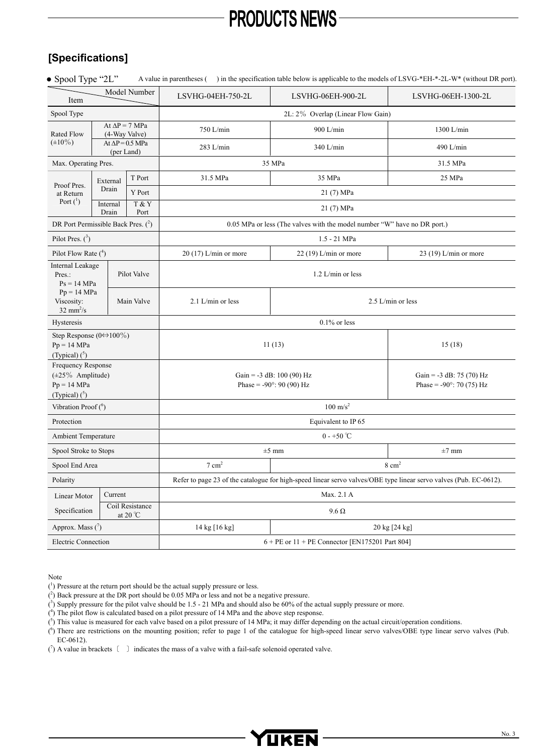# **[Specifications]**

| Model Number                                                                      |                                       |                                      | LSVHG-04EH-750-2L                                                                                                 | LSVHG-06EH-900-2L                                                        | LSVHG-06EH-1300-2L                                               |  |
|-----------------------------------------------------------------------------------|---------------------------------------|--------------------------------------|-------------------------------------------------------------------------------------------------------------------|--------------------------------------------------------------------------|------------------------------------------------------------------|--|
| Item<br>Spool Type                                                                |                                       |                                      | 2L: 2% Overlap (Linear Flow Gain)                                                                                 |                                                                          |                                                                  |  |
|                                                                                   | At $\Delta P = 7$ MPa                 |                                      |                                                                                                                   |                                                                          |                                                                  |  |
| <b>Rated Flow</b>                                                                 | (4-Way Valve)                         |                                      | 750 L/min                                                                                                         | 900 L/min                                                                | 1300 L/min                                                       |  |
| $(\pm 10\%)$                                                                      | At $\Delta P$ = 0.5 MPa<br>(per Land) |                                      | 283 L/min                                                                                                         | 340 L/min                                                                | 490 L/min                                                        |  |
| Max. Operating Pres.                                                              |                                       |                                      | 35 MPa                                                                                                            | 31.5 MPa                                                                 |                                                                  |  |
| Proof Pres.                                                                       | External                              | T Port                               | 31.5 MPa                                                                                                          | 35 MPa                                                                   | 25 MPa                                                           |  |
| at Return                                                                         | Drain                                 | <b>Y</b> Port                        |                                                                                                                   | 21 (7) MPa                                                               |                                                                  |  |
| Port $(^1)$                                                                       | Internal<br>Drain                     | T & Y<br>Port                        |                                                                                                                   | 21 (7) MPa                                                               |                                                                  |  |
| DR Port Permissible Back Pres. (2)                                                |                                       |                                      |                                                                                                                   | 0.05 MPa or less (The valves with the model number "W" have no DR port.) |                                                                  |  |
| Pilot Pres. $(^3)$                                                                |                                       |                                      | 1.5 - 21 MPa                                                                                                      |                                                                          |                                                                  |  |
| Pilot Flow Rate $(^4)$                                                            |                                       |                                      | $20(17)$ L/min or more                                                                                            | $22(19)$ L/min or more                                                   | 23 (19) L/min or more                                            |  |
| Internal Leakage<br>Pres.:<br>$Ps = 14 MPa$                                       |                                       | Pilot Valve                          | $1.2$ L/min or less                                                                                               |                                                                          |                                                                  |  |
| $Pp = 14 MPa$<br>Viscosity:<br>$32 \text{ mm}^2/\text{s}$                         |                                       | Main Valve                           | 2.1 L/min or less                                                                                                 | 2.5 L/min or less                                                        |                                                                  |  |
| Hysteresis                                                                        |                                       |                                      | $0.1\%$ or less                                                                                                   |                                                                          |                                                                  |  |
| Step Response $(0 \Leftrightarrow 100\%)$<br>$Pp = 14 MPa$<br>(Typical) $(^5)$    |                                       |                                      |                                                                                                                   | 11(13)<br>15(18)                                                         |                                                                  |  |
| Frequency Response<br>$(\pm 25\%$ Amplitude)<br>$Pp = 14 MPa$<br>(Typical) $(^5)$ |                                       |                                      | Gain = $-3$ dB: 100 (90) Hz<br>Phase = $-90^{\circ}$ : 90 (90) Hz                                                 |                                                                          | Gain = $-3$ dB: 75 (70) Hz<br>Phase = $-90^{\circ}$ : 70 (75) Hz |  |
| Vibration Proof $(6)$                                                             |                                       |                                      | $100 \text{ m/s}^2$                                                                                               |                                                                          |                                                                  |  |
| Protection                                                                        |                                       |                                      | Equivalent to IP 65                                                                                               |                                                                          |                                                                  |  |
| Ambient Temperature                                                               |                                       |                                      | $0 - +50$ °C                                                                                                      |                                                                          |                                                                  |  |
| Spool Stroke to Stops                                                             |                                       |                                      | $\pm 7$ mm<br>$\pm 5$ mm                                                                                          |                                                                          |                                                                  |  |
| Spool End Area                                                                    |                                       |                                      | $7 \text{ cm}^2$<br>$8 \text{ cm}^2$                                                                              |                                                                          |                                                                  |  |
| Polarity                                                                          |                                       |                                      | Refer to page 23 of the catalogue for high-speed linear servo valves/OBE type linear servo valves (Pub. EC-0612). |                                                                          |                                                                  |  |
| Current<br>Linear Motor                                                           |                                       |                                      | Max. 2.1 A                                                                                                        |                                                                          |                                                                  |  |
| Specification                                                                     |                                       | Coil Resistance<br>at 20 $\degree$ C |                                                                                                                   | $9.6\ \Omega$                                                            |                                                                  |  |
| Approx. Mass $(\bar{ }')$                                                         |                                       |                                      | 14 kg [16 kg]                                                                                                     | 20 kg [24 kg]                                                            |                                                                  |  |
| <b>Electric Connection</b>                                                        |                                       |                                      | $6 + PE$ or $11 + PE$ Connector [EN175201 Part 804]                                                               |                                                                          |                                                                  |  |

Note

( 4 ) The pilot flow is calculated based on a pilot pressure of 14 MPa and the above step response.

 $(5)$  This value is measured for each valve based on a pilot pressure of 14 MPa; it may differ depending on the actual circuit/operation conditions.

 $(6)$  There are restrictions on the mounting position; refer to page 1 of the catalogue for high-speed linear servo valves/OBE type linear servo valves (Pub. EC-0612).

 $(7)$  A value in brackets  $( )$  indicates the mass of a valve with a fail-safe solenoid operated valve.



<sup>(</sup> 1 ) Pressure at the return port should be the actual supply pressure or less.

 $(2)$  Back pressure at the DR port should be 0.05 MPa or less and not be a negative pressure.

 $(3)$  Supply pressure for the pilot valve should be 1.5 - 21 MPa and should also be 60% of the actual supply pressure or more.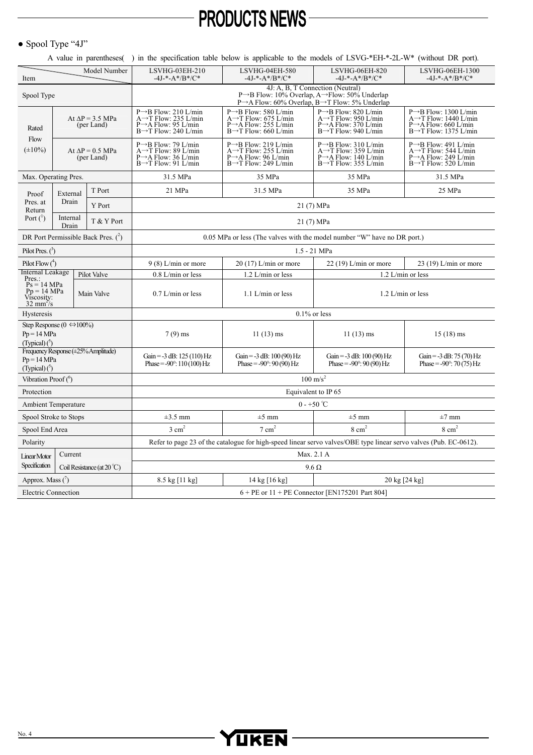#### $\bullet$  Spool Type "4J"

A value in parentheses( ) in the specification table below is applicable to the models of LSVG-\*EH-\*-2L-W\* (without DR port).

| Model Number<br>Item                                                                      |                                       |                                       | LSVHG-03EH-210<br>$-4J-+A*/B*/C*$                                                                                                                                                       | LSVHG-04EH-580<br>$-4J$ *-A*/B*/C*                                                                                                             | LSVHG-06EH-820<br>$-4J$ *-A*/B*/C*                                                                                                             | LSVHG-06EH-1300<br>$-4J$ *-A*/B*/C*                                                                                                                |  |  |
|-------------------------------------------------------------------------------------------|---------------------------------------|---------------------------------------|-----------------------------------------------------------------------------------------------------------------------------------------------------------------------------------------|------------------------------------------------------------------------------------------------------------------------------------------------|------------------------------------------------------------------------------------------------------------------------------------------------|----------------------------------------------------------------------------------------------------------------------------------------------------|--|--|
| Spool Type                                                                                |                                       |                                       | 4J: A, B, T Connection (Neutral)<br>$P \rightarrow B$ Flow: 10% Overlap, A $\rightarrow$ Flow: 50% Underlap<br>$P \rightarrow A$ Flow: 60% Overlap, $B \rightarrow T$ Flow: 5% Underlap |                                                                                                                                                |                                                                                                                                                |                                                                                                                                                    |  |  |
| Rated<br>Flow<br>$(\pm 10\%)$                                                             | At $\Delta P = 3.5$ MPa<br>(per Land) |                                       | $P \rightarrow B$ Flow: 210 L/min<br>A $\rightarrow$ T Flow: 235 L/min<br>P $\rightarrow$ A Flow: 95 L/min<br>$B\rightarrow T$ Flow: 240 L/min                                          | $P\rightarrow B$ Flow: 580 L/min<br>A $\rightarrow$ T Flow: 675 L/min<br>$P \rightarrow A$ Flow: 255 L/min<br>$B\rightarrow T$ Flow: 660 L/min | $P\rightarrow B$ Flow: 820 L/min<br>A $\rightarrow$ T Flow: 950 L/min<br>P→A Flow: 370 L/min<br>$B\rightarrow T$ Flow: 940 L/min               | $P \rightarrow B$ Flow: 1300 L/min<br>$A \rightarrow T$ Flow: 1440 L/min<br>$P \rightarrow A$ Flow: 660 L/min<br>$B\rightarrow T$ Flow: 1375 L/min |  |  |
|                                                                                           | At $\Delta P = 0.5$ MPa<br>(per Land) |                                       | $P\rightarrow B$ Flow: 79 L/min<br>A $\rightarrow$ T Flow: 89 L/min<br>$P \rightarrow A$ Flow: 36 L/min<br>$B\rightarrow T$ Flow: 91 L/min                                              | $P\rightarrow B$ Flow: 219 L/min<br>A $\rightarrow$ T Flow: 255 L/min<br>$P \rightarrow A$ Flow: 96 L/min<br>$B\rightarrow T$ Flow: 249 L/min  | $P\rightarrow B$ Flow: 310 L/min<br>A $\rightarrow$ T Flow: 359 L/min<br>$P \rightarrow A$ Flow: 140 L/min<br>$B\rightarrow T$ Flow: 355 L/min | $P\rightarrow B$ Flow: 491 L/min<br>A $\rightarrow$ T Flow: 544 L/min<br>$P \rightarrow A$ Flow: 249 L/min<br>$B\rightarrow T$ Flow: 520 L/min     |  |  |
| Max. Operating Pres.                                                                      |                                       |                                       | 31.5 MPa                                                                                                                                                                                | 35 MPa                                                                                                                                         | 35 MPa                                                                                                                                         | 31.5 MPa                                                                                                                                           |  |  |
| Proof                                                                                     | External                              | T Port                                | 21 MPa                                                                                                                                                                                  | 31.5 MPa                                                                                                                                       | 35 MPa                                                                                                                                         | 25 MPa                                                                                                                                             |  |  |
| Pres. at<br>Return                                                                        | Drain                                 | <b>Y</b> Port                         |                                                                                                                                                                                         |                                                                                                                                                |                                                                                                                                                |                                                                                                                                                    |  |  |
| Port $(^1)$                                                                               | Internal<br>Drain                     | T & Y Port                            |                                                                                                                                                                                         |                                                                                                                                                | 21 (7) MPa                                                                                                                                     |                                                                                                                                                    |  |  |
|                                                                                           |                                       | DR Port Permissible Back Pres. $(^2)$ |                                                                                                                                                                                         |                                                                                                                                                | 0.05 MPa or less (The valves with the model number "W" have no DR port.)                                                                       |                                                                                                                                                    |  |  |
| Pilot Pres. $(3)$                                                                         |                                       |                                       | 1.5 - 21 MPa                                                                                                                                                                            |                                                                                                                                                |                                                                                                                                                |                                                                                                                                                    |  |  |
| Pilot Flow $(4)$                                                                          |                                       |                                       | $9(8)$ L/min or more                                                                                                                                                                    | $20(17)$ L/min or more                                                                                                                         | $22(19)$ L/min or more                                                                                                                         | $23(19)$ L/min or more                                                                                                                             |  |  |
| Internal Leakage<br>Pres.:                                                                |                                       | Pilot Valve                           | $0.8$ L/min or less                                                                                                                                                                     | 1.2 L/min or less                                                                                                                              | 1.2 L/min or less                                                                                                                              |                                                                                                                                                    |  |  |
| $Ps = 14 MPa$<br>$Pp = 14 MPa$<br>Main Valve<br>Viscosity:<br>$32 \text{ mm}^2/\text{s}$  |                                       |                                       | $0.7$ L/min or less                                                                                                                                                                     | $1.1$ L/min or less<br>$1.2$ L/min or less                                                                                                     |                                                                                                                                                |                                                                                                                                                    |  |  |
| Hysteresis                                                                                |                                       |                                       | $0.1\%$ or less                                                                                                                                                                         |                                                                                                                                                |                                                                                                                                                |                                                                                                                                                    |  |  |
| Step Response (0 $\Leftrightarrow$ 100%)<br>$Pp = 14 MPa$<br>(Typical) $($ <sup>2</sup> ) |                                       |                                       | $7(9)$ ms                                                                                                                                                                               | $11(13)$ ms                                                                                                                                    | $11(13)$ ms                                                                                                                                    | $15(18)$ ms                                                                                                                                        |  |  |
| Frequency Response $(\pm 25\%$ Amplitude)<br>$Pp = 14 MPa$<br>(Typical) $(°)$             |                                       |                                       | Gain = $-3$ dB: 125 (110) Hz<br>Phase = $-90^{\circ}$ : 110 (100) Hz                                                                                                                    | Gain = $-3$ dB: 100 (90) Hz<br>Gain = $-3$ dB: 100 (90) Hz<br>Phase = $-90^{\circ}$ : 90 (90) Hz<br>Phase = $-90^{\circ}$ : 90 (90) Hz         |                                                                                                                                                | Gain = $-3$ dB: 75 (70) Hz<br>Phase = $-90^{\circ}$ : 70 (75) Hz                                                                                   |  |  |
| Vibration Proof $(6)$                                                                     |                                       |                                       | $100\;\mathrm{m/s^2}$                                                                                                                                                                   |                                                                                                                                                |                                                                                                                                                |                                                                                                                                                    |  |  |
| Protection                                                                                |                                       |                                       | Equivalent to IP 65                                                                                                                                                                     |                                                                                                                                                |                                                                                                                                                |                                                                                                                                                    |  |  |
| <b>Ambient Temperature</b>                                                                |                                       |                                       | $0 - +50$ °C                                                                                                                                                                            |                                                                                                                                                |                                                                                                                                                |                                                                                                                                                    |  |  |
| Spool Stroke to Stops                                                                     |                                       |                                       | $\pm 3.5$ mm                                                                                                                                                                            | $\pm 5$ mm                                                                                                                                     | $\pm$ 5 mm                                                                                                                                     | $\pm 7$ mm                                                                                                                                         |  |  |
| Spool End Area                                                                            |                                       |                                       | $3 \text{ cm}^2$                                                                                                                                                                        | $7 \text{ cm}^2$                                                                                                                               | $8 \text{ cm}^2$                                                                                                                               | $8 \text{ cm}^2$                                                                                                                                   |  |  |
| Polarity                                                                                  |                                       |                                       | Refer to page 23 of the catalogue for high-speed linear servo valves/OBE type linear servo valves (Pub. EC-0612).                                                                       |                                                                                                                                                |                                                                                                                                                |                                                                                                                                                    |  |  |
| Linear Motor                                                                              | Current                               |                                       | Max. 2.1 A                                                                                                                                                                              |                                                                                                                                                |                                                                                                                                                |                                                                                                                                                    |  |  |
| Specification                                                                             |                                       | Coil Resistance (at $20^{\circ}$ C)   | $9.6 \Omega$                                                                                                                                                                            |                                                                                                                                                |                                                                                                                                                |                                                                                                                                                    |  |  |
| Approx. Mass $(7)$                                                                        |                                       |                                       | 8.5 kg [11 kg]<br>20 kg [24 kg]<br>14 kg $[16 \text{ kg}]$                                                                                                                              |                                                                                                                                                |                                                                                                                                                |                                                                                                                                                    |  |  |
| <b>Electric Connection</b>                                                                |                                       |                                       | $6 + PE$ or $11 + PE$ Connector [EN175201 Part 804]                                                                                                                                     |                                                                                                                                                |                                                                                                                                                |                                                                                                                                                    |  |  |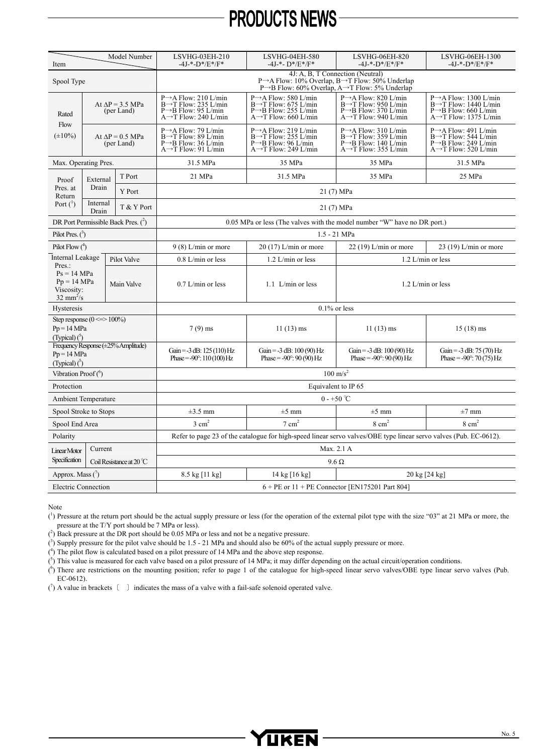| Model Number<br>Item                                                                 |                                       |                                       | LSVHG-03EH-210<br>-4J-*-D*/E*/F*                                                                                                                                                          | LSVHG-04EH-580<br>$-4J-+D*/E*/F*$                                                                                                               | LSVHG-06EH-820<br>$-4J-+D*/E*/F*$                                                                                                               | LSVHG-06EH-1300<br>$-4J$ -*- $D*/E*/F*$                                                                                                            |  |  |
|--------------------------------------------------------------------------------------|---------------------------------------|---------------------------------------|-------------------------------------------------------------------------------------------------------------------------------------------------------------------------------------------|-------------------------------------------------------------------------------------------------------------------------------------------------|-------------------------------------------------------------------------------------------------------------------------------------------------|----------------------------------------------------------------------------------------------------------------------------------------------------|--|--|
| Spool Type                                                                           |                                       |                                       | 4J: A, B, T Connection (Neutral)<br>$P \rightarrow A$ Flow: 10% Overlap, $B \rightarrow T$ Flow: 50% Underlap<br>$P \rightarrow B$ Flow: 60% Overlap, A $\rightarrow T$ Flow: 5% Underlap |                                                                                                                                                 |                                                                                                                                                 |                                                                                                                                                    |  |  |
| Rated<br>Flow<br>$(\pm 10\%)$                                                        | At $\Delta P = 3.5$ MPa<br>(per Land) |                                       | $P \rightarrow A$ Flow: 210 L/min<br>$B\rightarrow T$ Flow: 235 L/min<br>P $\rightarrow B$ Flow: 95 L/min<br>$A \rightarrow T$ Flow: 240 L/min                                            | $P \rightarrow A$ Flow: 580 L/min<br>$B\rightarrow T$ Flow: 675 L/min<br>$P \rightarrow B$ Flow: 255 L/min<br>$A \rightarrow T$ Flow: 660 L/min | P→A Flow: 820 L/min<br>$B\rightarrow T$ Flow: 950 L/min<br>$P \rightarrow B$ Flow: 370 L/min<br>$A \rightarrow T$ Flow: 940 L/min               | $P \rightarrow A$ Flow: 1300 L/min<br>$B\rightarrow T$ Flow: 1440 L/min<br>$P \rightarrow B$ Flow: 660 L/min<br>$A \rightarrow T$ Flow: 1375 L/min |  |  |
|                                                                                      | At $\Delta P = 0.5$ MPa<br>(per Land) |                                       | $P \rightarrow A$ Flow: 79 L/min<br>$B\rightarrow T$ Flow: 89 L/min<br>$P \rightarrow B$ Flow: 36 L/min<br>$A \rightarrow T$ Flow: 91 L/min                                               | $P \rightarrow A$ Flow: 219 L/min<br>$B\rightarrow T$ Flow: 255 L/min<br>$P \rightarrow B$ Flow: 96 L/min<br>$A \rightarrow T$ Flow: 249 L/min  | $P \rightarrow A$ Flow: 310 L/min<br>$B\rightarrow T$ Flow: 359 L/min<br>$P \rightarrow B$ Flow: 140 L/min<br>$A \rightarrow T$ Flow: 355 L/min | $P \rightarrow A$ Flow: 491 L/min<br>$B\rightarrow T$ Flow: 544 L/min<br>$P \rightarrow B$ Flow: 249 L/min<br>$A \rightarrow T$ Flow: 520 L/min    |  |  |
| Max. Operating Pres.                                                                 |                                       |                                       | 31.5 MPa                                                                                                                                                                                  | 35 MPa                                                                                                                                          | 35 MPa                                                                                                                                          | 31.5 MPa                                                                                                                                           |  |  |
| Proof                                                                                | External                              | T Port                                | 21 MPa                                                                                                                                                                                    | 31.5 MPa                                                                                                                                        | 35 MPa                                                                                                                                          | 25 MPa                                                                                                                                             |  |  |
| Pres. at<br>Return                                                                   | Drain                                 | Y Port                                |                                                                                                                                                                                           |                                                                                                                                                 | 21 (7) MPa                                                                                                                                      |                                                                                                                                                    |  |  |
| Port $(^1)$                                                                          | Internal<br>Drain                     | T & Y Port                            |                                                                                                                                                                                           |                                                                                                                                                 | 21 (7) MPa                                                                                                                                      |                                                                                                                                                    |  |  |
|                                                                                      |                                       | DR Port Permissible Back Pres. $(^2)$ |                                                                                                                                                                                           | 0.05 MPa or less (The valves with the model number "W" have no DR port.)                                                                        |                                                                                                                                                 |                                                                                                                                                    |  |  |
| Pilot Pres. $(3)$                                                                    |                                       |                                       | 1.5 - 21 MPa                                                                                                                                                                              |                                                                                                                                                 |                                                                                                                                                 |                                                                                                                                                    |  |  |
| Pilot Flow $(^4)$                                                                    |                                       |                                       | $9(8)$ L/min or more                                                                                                                                                                      | $20(17)$ L/min or more                                                                                                                          | $22(19)$ L/min or more                                                                                                                          | $23(19)$ L/min or more                                                                                                                             |  |  |
| Internal Leakage                                                                     |                                       | Pilot Valve                           | $0.8$ L/min or less                                                                                                                                                                       | $1.2$ L/min or less                                                                                                                             |                                                                                                                                                 | $1.2$ L/min or less                                                                                                                                |  |  |
| Pres.:<br>$Ps = 14 MPa$<br>$Pp = 14 MPa$<br>Viscosity:<br>$32 \text{ mm}^2/\text{s}$ |                                       | Main Valve                            | $0.7$ L/min or less                                                                                                                                                                       | $1.1$ L/min or less                                                                                                                             | $1.2$ L/min or less                                                                                                                             |                                                                                                                                                    |  |  |
| Hysteresis                                                                           |                                       |                                       |                                                                                                                                                                                           |                                                                                                                                                 | $0.1\%$ or less                                                                                                                                 |                                                                                                                                                    |  |  |
| Step response $(0 \le > 100\%)$<br>$Pp = 14 MPa$<br>(Typical) $(°)$                  |                                       |                                       | $7(9)$ ms                                                                                                                                                                                 | $11(13)$ ms                                                                                                                                     | $11(13)$ ms                                                                                                                                     | $15(18)$ ms                                                                                                                                        |  |  |
| Frequency Response (±25% Amplitude)<br>$Pp = 14 MPa$<br>(Typical) $(°)$              |                                       |                                       | Gain = $-3$ dB: 125 (110) Hz<br>Phase = $-90^{\circ}$ : 110 (100) Hz                                                                                                                      | Gain = $-3$ dB: 100 (90) Hz<br>Phase = $-90^{\circ}$ : 90 (90) Hz                                                                               | Gain = $-3$ dB: 100 (90) Hz<br>Phase = $-90^{\circ}$ : 90 (90) Hz                                                                               | Gain = $-3$ dB: 75 (70) Hz<br>Phase = $-90^{\circ}$ : 70 (75) Hz                                                                                   |  |  |
| Vibration Proof $(6)$                                                                |                                       |                                       | $100\;\text{m/s}^2$                                                                                                                                                                       |                                                                                                                                                 |                                                                                                                                                 |                                                                                                                                                    |  |  |
| Protection                                                                           |                                       |                                       | Equivalent to IP 65                                                                                                                                                                       |                                                                                                                                                 |                                                                                                                                                 |                                                                                                                                                    |  |  |
| <b>Ambient Temperature</b>                                                           |                                       |                                       | $0 - +50$ °C                                                                                                                                                                              |                                                                                                                                                 |                                                                                                                                                 |                                                                                                                                                    |  |  |
| Spool Stroke to Stops                                                                |                                       |                                       | $\pm 3.5$ mm                                                                                                                                                                              | $\pm 5$ mm                                                                                                                                      | $\pm 5$ mm                                                                                                                                      | $\pm 7$ mm                                                                                                                                         |  |  |
| Spool End Area                                                                       |                                       |                                       | $3 \text{ cm}^2$<br>$7 \text{ cm}^2$<br>$8 \text{ cm}^2$<br>$8 \text{ cm}^2$                                                                                                              |                                                                                                                                                 |                                                                                                                                                 |                                                                                                                                                    |  |  |
| Polarity                                                                             |                                       |                                       | Refer to page 23 of the catalogue for high-speed linear servo valves/OBE type linear servo valves (Pub. EC-0612).                                                                         |                                                                                                                                                 |                                                                                                                                                 |                                                                                                                                                    |  |  |
| Linear Motor                                                                         | Current                               |                                       | Max. 2.1 A                                                                                                                                                                                |                                                                                                                                                 |                                                                                                                                                 |                                                                                                                                                    |  |  |
| Specification                                                                        |                                       | Coil Resistance at $20^{\circ}$ C     | $9.6 \Omega$                                                                                                                                                                              |                                                                                                                                                 |                                                                                                                                                 |                                                                                                                                                    |  |  |
| Approx. Mass $(^{7})$                                                                |                                       |                                       | 8.5 kg [11 kg]<br>$14 \text{ kg}$ [16 kg]<br>$20 \text{ kg}$ [24 kg]                                                                                                                      |                                                                                                                                                 |                                                                                                                                                 |                                                                                                                                                    |  |  |
| <b>Electric Connection</b>                                                           |                                       |                                       | $6 + PE$ or $11 + PE$ Connector [EN175201 Part 804]                                                                                                                                       |                                                                                                                                                 |                                                                                                                                                 |                                                                                                                                                    |  |  |

Note

 $(1)$  Pressure at the return port should be the actual supply pressure or less (for the operation of the external pilot type with the size "03" at 21 MPa or more, the pressure at the T/Y port should be 7 MPa or less).

 $(2)$  Back pressure at the DR port should be 0.05 MPa or less and not be a negative pressure.

 $(3)$  Supply pressure for the pilot valve should be 1.5 - 21 MPa and should also be 60% of the actual supply pressure or more.

( 4 ) The pilot flow is calculated based on a pilot pressure of 14 MPa and the above step response.

 $(5)$  This value is measured for each valve based on a pilot pressure of 14 MPa; it may differ depending on the actual circuit/operation conditions.

 $(6)$  There are restrictions on the mounting position; refer to page 1 of the catalogue for high-speed linear servo valves/OBE type linear servo valves (Pub. EC-0612).

 $(7)$  A value in brackets  $( )$  indicates the mass of a valve with a fail-safe solenoid operated valve.

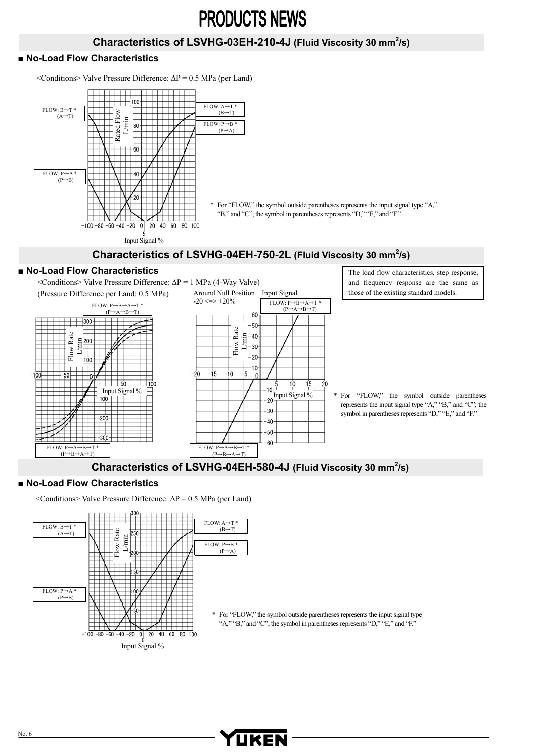### Characteristics of LSVHG-03EH-210-4J (Fluid Viscosity 30 mm<sup>2</sup>/s)

 $(B \rightarrow T)$ 

 $(P \rightarrow A)$ 

#### **■ No-Load Flow Characteristics**

<Conditions> Valve Pressure Difference: ∆P = 0.5 MPa (per Land)



\* For "FLOW," the symbol outside parentheses represents the input signal type "A," "B," and "C"; the symbol in parentheses represents "D," "E," and "F."

# Characteristics of LSVHG-04EH-750-2L (Fluid Viscosity 30 mm<sup>2</sup>/s)

#### **■ No-Load Flow Characteristics**  The load flow characteristics, step response, <Conditions> Valve Pressure Difference: ∆P = 1 MPa (4-Way Valve) and frequency response are the same as Around Null Position Input Signal those of the existing standard models. (Pressure Difference per Land: 0.5 MPa)  $-20 \leq z \leq +20\%$  FLOW: P $\rightarrow B \rightarrow A \rightarrow T$ <sup>\*</sup>  $\overline{F}$ LOW:  $\overline{P \rightarrow R \rightarrow A \rightarrow T}$  $(P \rightarrow A \rightarrow B \rightarrow T)$  $(P \rightarrow A \rightarrow B \rightarrow T)$  $-60$  $\frac{1}{300}$  $-50$ Flow Rate Rate Rate Flow Rate L/min  $-40$ L/min 200 Flow:  $-30$  $Flow$  $-20$  $100$  $10$  $-i$ 0 -5  $-20$  $-15$  $+50 +100$  $10$ 15 20  $-10$ Input Signal %  $\frac{1}{20}$ Input Signal % \* For "FLOW," the symbol outside parentheses  $100 + 11$ represents the input signal type "A," "B," and "C"; the  $-30$ symbol in parentheses represents "D," "E," and "F."  $-200$  $-40 -50$  $-300-$ -60  $FLOW: P \rightarrow A \rightarrow B \rightarrow T$ FLOW: P→A→B→T \*<br>(P→B→A→T)  $(P \rightarrow B \rightarrow A \rightarrow T)$

# Characteristics of LSVHG-04EH-580-4J (Fluid Viscosity 30 mm<sup>2</sup>/s)

YUKEN

#### **■ No-Load Flow Characteristics**

<Conditions> Valve Pressure Difference: ∆P = 0.5 MPa (per Land)



\* For "FLOW," the symbol outside parentheses represents the input signal type "A," "B," and "C"; the symbol in parentheses represents "D," "E," and "F."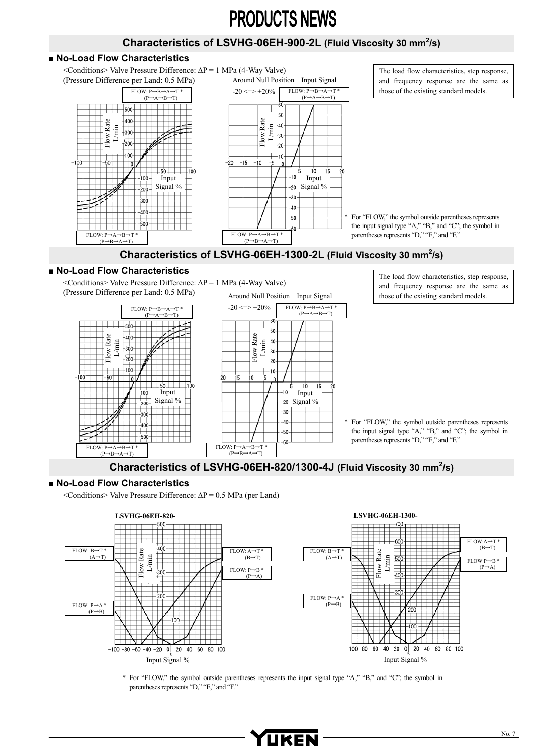## Characteristics of LSVHG-06EH-900-2L (Fluid Viscosity 30 mm<sup>2</sup>/s)

#### ■ No-Load Flow Characteristics

<Conditions> Valve Pressure Difference: ∆P = 1 MPa (4-Way Valve) (Pressure Difference per Land: 0.5 MPa)





The load flow characteristics, step response, and frequency response are the same as those of the existing standard models.

For "FLOW," the symbol outside parentheses represents the input signal type "A," "B," and "C"; the symbol in parentheses represents "D," "E," and "F."

#### Characteristics of LSVHG-06EH-1300-2L (Fluid Viscosity 30 mm<sup>2</sup>/s)

#### ■ No-Load Flow Characteristics

<Conditions> Valve Pressure Difference: ∆P = 1 MPa (4-Way Valve) (Pressure Difference per Land: 0.5 MPa)





The load flow characteristics, step response, and frequency response are the same as those of the existing standard models.

For "FLOW," the symbol outside parentheses represents the input signal type "A," "B," and "C"; the symbol in parentheses represents "D," "E," and "F."

### Characteristics of LSVHG-06EH-820/1300-4J (Fluid Viscosity 30 mm<sup>2</sup>/s)

#### **■ No-Load Flow Characteristics**

<Conditions> Valve Pressure Difference: ∆P = 0.5 MPa (per Land)



\* For "FLOW," the symbol outside parentheses represents the input signal type "A," "B," and "C"; the symbol in parentheses represents "D," "E," and "F."

YUKEN